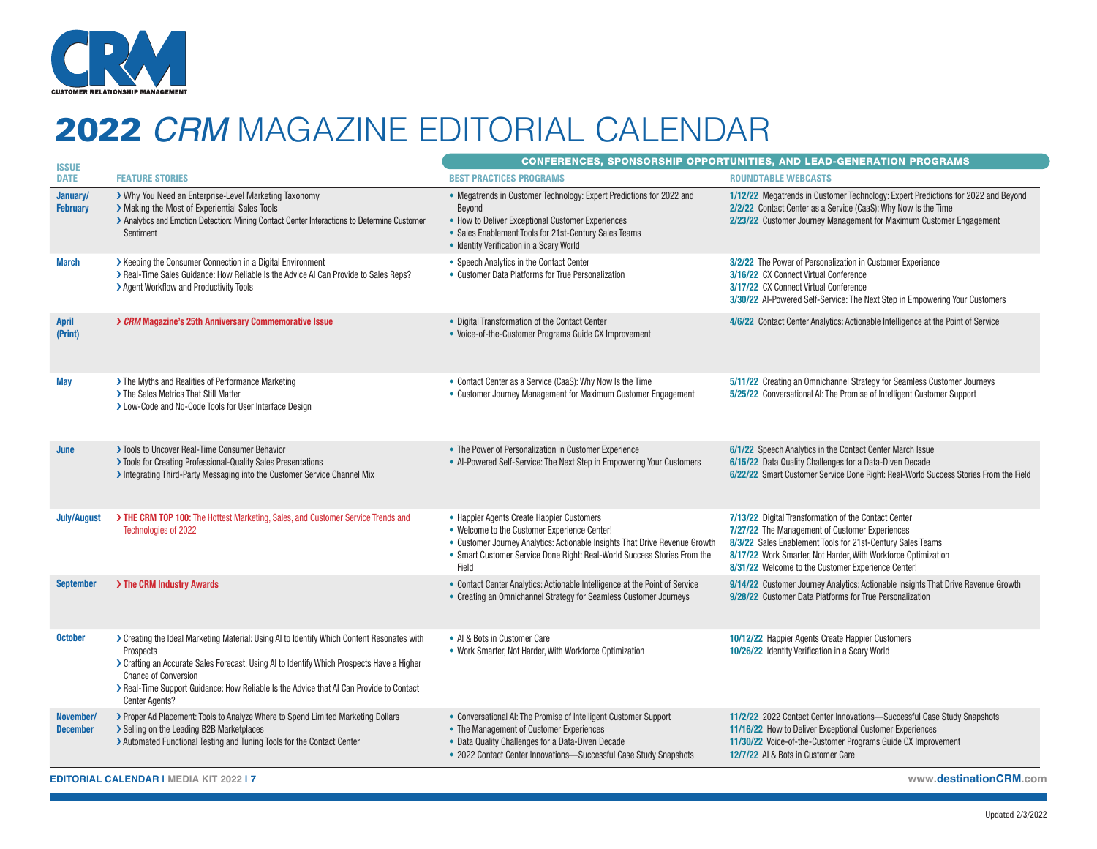

# 2022 *CRM* MAGAZINE EDITORIAL CALENDAR

| <b>ISSUE</b>                 |                                                                                                                                                                                                                                                                                                                                                         | <b>CONFERENCES, SPONSORSHIP OPPORTUNITIES, AND LEAD-GENERATION PROGRAMS</b>                                                                                                                                                                                   |                                                                                                                                                                                                                                                                                             |
|------------------------------|---------------------------------------------------------------------------------------------------------------------------------------------------------------------------------------------------------------------------------------------------------------------------------------------------------------------------------------------------------|---------------------------------------------------------------------------------------------------------------------------------------------------------------------------------------------------------------------------------------------------------------|---------------------------------------------------------------------------------------------------------------------------------------------------------------------------------------------------------------------------------------------------------------------------------------------|
| <b>DATE</b>                  | <b>FEATURE STORIES</b>                                                                                                                                                                                                                                                                                                                                  | <b>BEST PRACTICES PROGRAMS</b>                                                                                                                                                                                                                                | <b>ROUNDTABLE WEBCASTS</b>                                                                                                                                                                                                                                                                  |
| January/<br><b>February</b>  | > Why You Need an Enterprise-Level Marketing Taxonomy<br>> Making the Most of Experiential Sales Tools<br>> Analytics and Emotion Detection: Mining Contact Center Interactions to Determine Customer<br>Sentiment                                                                                                                                      | • Megatrends in Customer Technology: Expert Predictions for 2022 and<br>Bevond<br>• How to Deliver Exceptional Customer Experiences<br>• Sales Enablement Tools for 21st-Century Sales Teams<br>• Identity Verification in a Scary World                      | 1/12/22 Megatrends in Customer Technology: Expert Predictions for 2022 and Beyond<br>2/2/22 Contact Center as a Service (CaaS): Why Now Is the Time<br>2/23/22 Customer Journey Management for Maximum Customer Engagement                                                                  |
| <b>March</b>                 | > Keeping the Consumer Connection in a Digital Environment<br>> Real-Time Sales Guidance: How Reliable Is the Advice AI Can Provide to Sales Reps?<br>> Agent Workflow and Productivity Tools                                                                                                                                                           | • Speech Analytics in the Contact Center<br>• Customer Data Platforms for True Personalization                                                                                                                                                                | 3/2/22 The Power of Personalization in Customer Experience<br>3/16/22 CX Connect Virtual Conference<br>3/17/22 CX Connect Virtual Conference<br>3/30/22 Al-Powered Self-Service: The Next Step in Empowering Your Customers                                                                 |
| <b>April</b><br>(Print)      | > CRM Magazine's 25th Anniversary Commemorative Issue                                                                                                                                                                                                                                                                                                   | • Digital Transformation of the Contact Center<br>• Voice-of-the-Customer Programs Guide CX Improvement                                                                                                                                                       | 4/6/22 Contact Center Analytics: Actionable Intelligence at the Point of Service                                                                                                                                                                                                            |
| <b>May</b>                   | > The Myths and Realities of Performance Marketing<br>> The Sales Metrics That Still Matter<br>> Low-Code and No-Code Tools for User Interface Design                                                                                                                                                                                                   | • Contact Center as a Service (CaaS): Why Now Is the Time<br>• Customer Journey Management for Maximum Customer Engagement                                                                                                                                    | 5/11/22 Creating an Omnichannel Strategy for Seamless Customer Journeys<br>5/25/22 Conversational AI: The Promise of Intelligent Customer Support                                                                                                                                           |
| June                         | > Tools to Uncover Real-Time Consumer Behavior<br>> Tools for Creating Professional-Quality Sales Presentations<br>> Integrating Third-Party Messaging into the Customer Service Channel Mix                                                                                                                                                            | • The Power of Personalization in Customer Experience<br>• Al-Powered Self-Service: The Next Step in Empowering Your Customers                                                                                                                                | 6/1/22 Speech Analytics in the Contact Center March Issue<br>6/15/22 Data Quality Challenges for a Data-Diven Decade<br>6/22/22 Smart Customer Service Done Right: Real-World Success Stories From the Field                                                                                |
| <b>July/August</b>           | > THE CRM TOP 100: The Hottest Marketing, Sales, and Customer Service Trends and<br>Technologies of 2022                                                                                                                                                                                                                                                | • Happier Agents Create Happier Customers<br>• Welcome to the Customer Experience Center!<br>• Customer Journey Analytics: Actionable Insights That Drive Revenue Growth<br>• Smart Customer Service Done Right: Real-World Success Stories From the<br>Field | 7/13/22 Digital Transformation of the Contact Center<br>7/27/22 The Management of Customer Experiences<br>8/3/22 Sales Enablement Tools for 21st-Century Sales Teams<br>8/17/22 Work Smarter, Not Harder, With Workforce Optimization<br>8/31/22 Welcome to the Customer Experience Center! |
| <b>September</b>             | > The CRM Industry Awards                                                                                                                                                                                                                                                                                                                               | • Contact Center Analytics: Actionable Intelligence at the Point of Service<br>• Creating an Omnichannel Strategy for Seamless Customer Journeys                                                                                                              | 9/14/22 Customer Journey Analytics: Actionable Insights That Drive Revenue Growth<br>9/28/22 Customer Data Platforms for True Personalization                                                                                                                                               |
| <b>October</b>               | > Creating the Ideal Marketing Material: Using AI to Identify Which Content Resonates with<br>Prospects<br>> Crafting an Accurate Sales Forecast: Using AI to Identify Which Prospects Have a Higher<br><b>Chance of Conversion</b><br>> Real-Time Support Guidance: How Reliable Is the Advice that AI Can Provide to Contact<br><b>Center Agents?</b> | • Al & Bots in Customer Care<br>• Work Smarter, Not Harder, With Workforce Optimization                                                                                                                                                                       | 10/12/22 Happier Agents Create Happier Customers<br>10/26/22 Identity Verification in a Scary World                                                                                                                                                                                         |
| November/<br><b>December</b> | > Proper Ad Placement: Tools to Analyze Where to Spend Limited Marketing Dollars<br>> Selling on the Leading B2B Marketplaces<br>> Automated Functional Testing and Tuning Tools for the Contact Center                                                                                                                                                 | • Conversational AI: The Promise of Intelligent Customer Support<br>• The Management of Customer Experiences<br>• Data Quality Challenges for a Data-Diven Decade<br>• 2022 Contact Center Innovations-Successful Case Study Snapshots                        | 11/2/22 2022 Contact Center Innovations-Successful Case Study Snapshots<br>11/16/22 How to Deliver Exceptional Customer Experiences<br>11/30/22 Voice-of-the-Customer Programs Guide CX Improvement<br>12/7/22 Al & Bots in Customer Care                                                   |